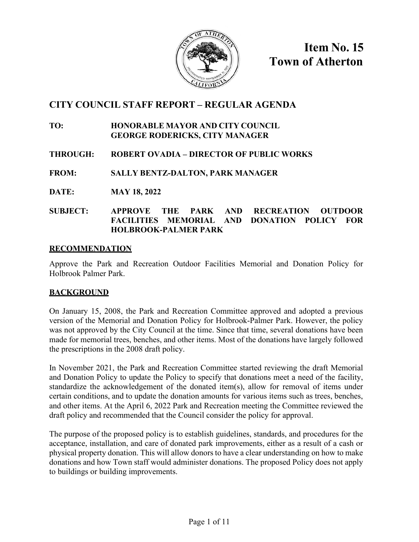

**Item No. 15 Town of Atherton**

## **CITY COUNCIL STAFF REPORT – REGULAR AGENDA**

## **TO: HONORABLE MAYOR AND CITY COUNCIL GEORGE RODERICKS, CITY MANAGER**

## **THROUGH: ROBERT OVADIA – DIRECTOR OF PUBLIC WORKS**

## **FROM: SALLY BENTZ-DALTON, PARK MANAGER**

**DATE: MAY 18, 2022** 

## **SUBJECT: APPROVE THE PARK AND RECREATION OUTDOOR FACILITIES MEMORIAL AND DONATION POLICY FOR HOLBROOK-PALMER PARK**

## **RECOMMENDATION**

Approve the Park and Recreation Outdoor Facilities Memorial and Donation Policy for Holbrook Palmer Park.

## **BACKGROUND**

On January 15, 2008, the Park and Recreation Committee approved and adopted a previous version of the Memorial and Donation Policy for Holbrook-Palmer Park. However, the policy was not approved by the City Council at the time. Since that time, several donations have been made for memorial trees, benches, and other items. Most of the donations have largely followed the prescriptions in the 2008 draft policy.

In November 2021, the Park and Recreation Committee started reviewing the draft Memorial and Donation Policy to update the Policy to specify that donations meet a need of the facility, standardize the acknowledgement of the donated item(s), allow for removal of items under certain conditions, and to update the donation amounts for various items such as trees, benches, and other items. At the April 6, 2022 Park and Recreation meeting the Committee reviewed the draft policy and recommended that the Council consider the policy for approval.

The purpose of the proposed policy is to establish guidelines, standards, and procedures for the acceptance, installation, and care of donated park improvements, either as a result of a cash or physical property donation. This will allow donors to have a clear understanding on how to make donations and how Town staff would administer donations. The proposed Policy does not apply to buildings or building improvements.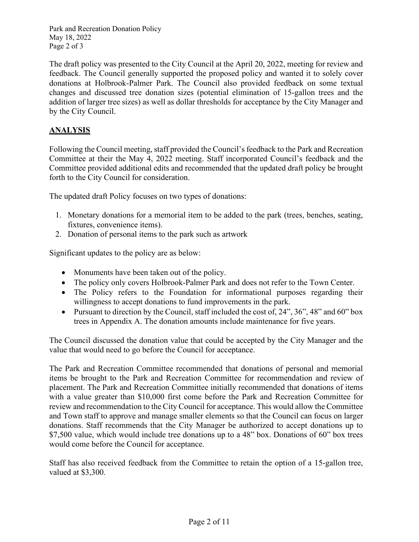Park and Recreation Donation Policy May 18, 2022 Page 2 of 3

The draft policy was presented to the City Council at the April 20, 2022, meeting for review and feedback. The Council generally supported the proposed policy and wanted it to solely cover donations at Holbrook-Palmer Park. The Council also provided feedback on some textual changes and discussed tree donation sizes (potential elimination of 15-gallon trees and the addition of larger tree sizes) as well as dollar thresholds for acceptance by the City Manager and by the City Council.

## **ANALYSIS**

Following the Council meeting, staff provided the Council's feedback to the Park and Recreation Committee at their the May 4, 2022 meeting. Staff incorporated Council's feedback and the Committee provided additional edits and recommended that the updated draft policy be brought forth to the City Council for consideration.

The updated draft Policy focuses on two types of donations:

- 1. Monetary donations for a memorial item to be added to the park (trees, benches, seating, fixtures, convenience items).
- 2. Donation of personal items to the park such as artwork

Significant updates to the policy are as below:

- Monuments have been taken out of the policy.
- The policy only covers Holbrook-Palmer Park and does not refer to the Town Center.
- The Policy refers to the Foundation for informational purposes regarding their willingness to accept donations to fund improvements in the park.
- Pursuant to direction by the Council, staff included the cost of,  $24$ ",  $36$ ",  $48$ " and  $60$ " box trees in Appendix A. The donation amounts include maintenance for five years.

The Council discussed the donation value that could be accepted by the City Manager and the value that would need to go before the Council for acceptance.

The Park and Recreation Committee recommended that donations of personal and memorial items be brought to the Park and Recreation Committee for recommendation and review of placement. The Park and Recreation Committee initially recommended that donations of items with a value greater than \$10,000 first come before the Park and Recreation Committee for review and recommendation to the City Council for acceptance. This would allow the Committee and Town staff to approve and manage smaller elements so that the Council can focus on larger donations. Staff recommends that the City Manager be authorized to accept donations up to \$7,500 value, which would include tree donations up to a 48" box. Donations of 60" box trees would come before the Council for acceptance.

Staff has also received feedback from the Committee to retain the option of a 15-gallon tree, valued at \$3,300.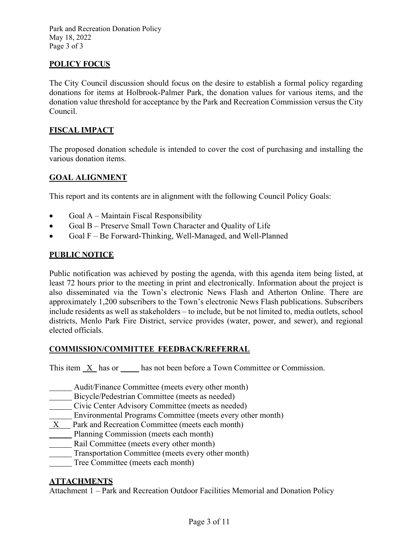Park and Recreation Donation Policy May 18, 2022 Page 3 of 3

## **POLICY FOCUS**

The City Council discussion should focus on the desire to establish a formal policy regarding donations for items at Holbrook-Palmer Park, the donation values for various items, and the donation value threshold for acceptance by the Park and Recreation Commission versus the City Council.

## **FISCAL IMPACT**

The proposed donation schedule is intended to cover the cost of purchasing and installing the various donation items.

## **GOAL ALIGNMENT**

This report and its contents are in alignment with the following Council Policy Goals:

- Goal A Maintain Fiscal Responsibility
- Goal B Preserve Small Town Character and Quality of Life
- Goal F Be Forward-Thinking, Well-Managed, and Well-Planned

#### **PUBLIC NOTICE**

Public notification was achieved by posting the agenda, with this agenda item being listed, at least 72 hours prior to the meeting in print and electronically. Information about the project is also disseminated via the Town's electronic News Flash and Atherton Online. There are approximately 1,200 subscribers to the Town's electronic News Flash publications. Subscribers include residents as well as stakeholders – to include, but be not limited to, media outlets, school districts, Menlo Park Fire District, service provides (water, power, and sewer), and regional elected officials.

#### **COMMISSION/COMMITTEE FEEDBACK/REFERRAL**

This item X has or has not been before a Town Committee or Commission.

- Audit/Finance Committee (meets every other month)
- Bicycle/Pedestrian Committee (meets as needed)
- Civic Center Advisory Committee (meets as needed)
- Environmental Programs Committee (meets every other month)
- $X$  Park and Recreation Committee (meets each month)
- Planning Commission (meets each month)
- Rail Committee (meets every other month)
- Transportation Committee (meets every other month)
- Tree Committee (meets each month)

#### **ATTACHMENTS**

Attachment 1 – Park and Recreation Outdoor Facilities Memorial and Donation Policy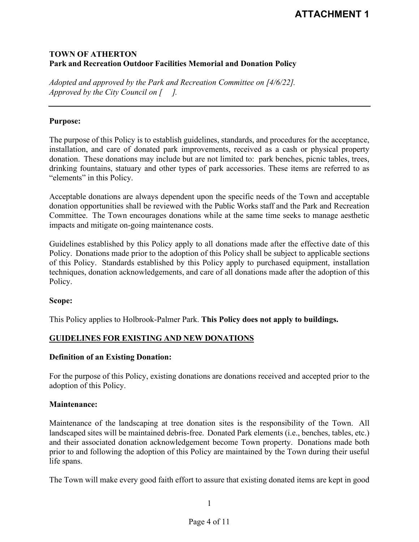# **ATTACHMENT 1**

## **TOWN OF ATHERTON Park and Recreation Outdoor Facilities Memorial and Donation Policy**

*Adopted and approved by the Park and Recreation Committee on [4/6/22]. Approved by the City Council on [ ].*

#### **Purpose:**

The purpose of this Policy is to establish guidelines, standards, and procedures for the acceptance, installation, and care of donated park improvements, received as a cash or physical property donation. These donations may include but are not limited to: park benches, picnic tables, trees, drinking fountains, statuary and other types of park accessories. These items are referred to as "elements" in this Policy.

Acceptable donations are always dependent upon the specific needs of the Town and acceptable donation opportunities shall be reviewed with the Public Works staff and the Park and Recreation Committee. The Town encourages donations while at the same time seeks to manage aesthetic impacts and mitigate on-going maintenance costs.

Guidelines established by this Policy apply to all donations made after the effective date of this Policy. Donations made prior to the adoption of this Policy shall be subject to applicable sections of this Policy. Standards established by this Policy apply to purchased equipment, installation techniques, donation acknowledgements, and care of all donations made after the adoption of this Policy.

#### **Scope:**

This Policy applies to Holbrook-Palmer Park. **This Policy does not apply to buildings.**

#### **GUIDELINES FOR EXISTING AND NEW DONATIONS**

#### **Definition of an Existing Donation:**

For the purpose of this Policy, existing donations are donations received and accepted prior to the adoption of this Policy.

#### **Maintenance:**

Maintenance of the landscaping at tree donation sites is the responsibility of the Town. All landscaped sites will be maintained debris-free. Donated Park elements (i.e., benches, tables, etc.) and their associated donation acknowledgement become Town property. Donations made both prior to and following the adoption of this Policy are maintained by the Town during their useful life spans.

The Town will make every good faith effort to assure that existing donated items are kept in good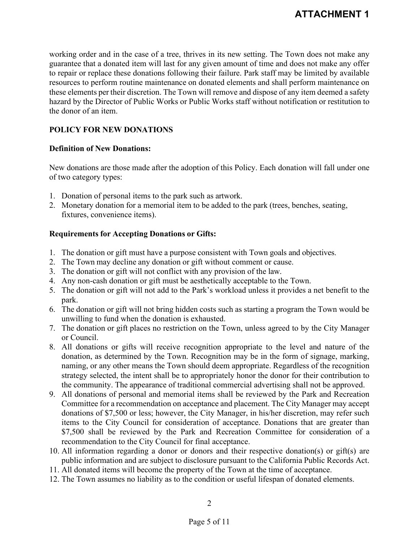working order and in the case of a tree, thrives in its new setting. The Town does not make any guarantee that a donated item will last for any given amount of time and does not make any offer to repair or replace these donations following their failure. Park staff may be limited by available resources to perform routine maintenance on donated elements and shall perform maintenance on these elements per their discretion. The Town will remove and dispose of any item deemed a safety hazard by the Director of Public Works or Public Works staff without notification or restitution to the donor of an item.

## **POLICY FOR NEW DONATIONS**

## **Definition of New Donations:**

New donations are those made after the adoption of this Policy. Each donation will fall under one of two category types:

- 1. Donation of personal items to the park such as artwork.
- 2. Monetary donation for a memorial item to be added to the park (trees, benches, seating, fixtures, convenience items).

## **Requirements for Accepting Donations or Gifts:**

- 1. The donation or gift must have a purpose consistent with Town goals and objectives.
- 2. The Town may decline any donation or gift without comment or cause.
- 3. The donation or gift will not conflict with any provision of the law.
- 4. Any non-cash donation or gift must be aesthetically acceptable to the Town.
- 5. The donation or gift will not add to the Park's workload unless it provides a net benefit to the park.
- 6. The donation or gift will not bring hidden costs such as starting a program the Town would be unwilling to fund when the donation is exhausted.
- 7. The donation or gift places no restriction on the Town, unless agreed to by the City Manager or Council.
- 8. All donations or gifts will receive recognition appropriate to the level and nature of the donation, as determined by the Town. Recognition may be in the form of signage, marking, naming, or any other means the Town should deem appropriate. Regardless of the recognition strategy selected, the intent shall be to appropriately honor the donor for their contribution to the community. The appearance of traditional commercial advertising shall not be approved.
- 9. All donations of personal and memorial items shall be reviewed by the Park and Recreation Committee for a recommendation on acceptance and placement. The City Manager may accept donations of \$7,500 or less; however, the City Manager, in his/her discretion, may refer such items to the City Council for consideration of acceptance. Donations that are greater than \$7,500 shall be reviewed by the Park and Recreation Committee for consideration of a recommendation to the City Council for final acceptance.
- 10. All information regarding a donor or donors and their respective donation(s) or gift(s) are public information and are subject to disclosure pursuant to the California Public Records Act.
- 11. All donated items will become the property of the Town at the time of acceptance.
- 12. The Town assumes no liability as to the condition or useful lifespan of donated elements.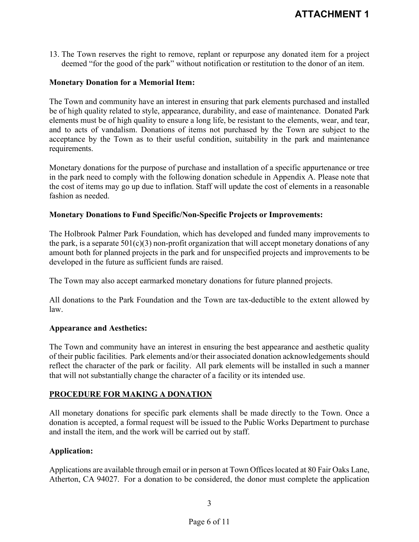13. The Town reserves the right to remove, replant or repurpose any donated item for a project deemed "for the good of the park" without notification or restitution to the donor of an item.

#### **Monetary Donation for a Memorial Item:**

The Town and community have an interest in ensuring that park elements purchased and installed be of high quality related to style, appearance, durability, and ease of maintenance. Donated Park elements must be of high quality to ensure a long life, be resistant to the elements, wear, and tear, and to acts of vandalism. Donations of items not purchased by the Town are subject to the acceptance by the Town as to their useful condition, suitability in the park and maintenance requirements.

Monetary donations for the purpose of purchase and installation of a specific appurtenance or tree in the park need to comply with the following donation schedule in Appendix A. Please note that the cost of items may go up due to inflation. Staff will update the cost of elements in a reasonable fashion as needed.

## **Monetary Donations to Fund Specific/Non-Specific Projects or Improvements:**

The Holbrook Palmer Park Foundation, which has developed and funded many improvements to the park, is a separate  $501(c)(3)$  non-profit organization that will accept monetary donations of any amount both for planned projects in the park and for unspecified projects and improvements to be developed in the future as sufficient funds are raised.

The Town may also accept earmarked monetary donations for future planned projects.

All donations to the Park Foundation and the Town are tax-deductible to the extent allowed by law.

#### **Appearance and Aesthetics:**

The Town and community have an interest in ensuring the best appearance and aesthetic quality of their public facilities. Park elements and/or their associated donation acknowledgements should reflect the character of the park or facility. All park elements will be installed in such a manner that will not substantially change the character of a facility or its intended use.

## **PROCEDURE FOR MAKING A DONATION**

All monetary donations for specific park elements shall be made directly to the Town. Once a donation is accepted, a formal request will be issued to the Public Works Department to purchase and install the item, and the work will be carried out by staff.

#### **Application:**

Applications are available through email or in person at Town Offices located at 80 Fair Oaks Lane, Atherton, CA 94027. For a donation to be considered, the donor must complete the application

#### 3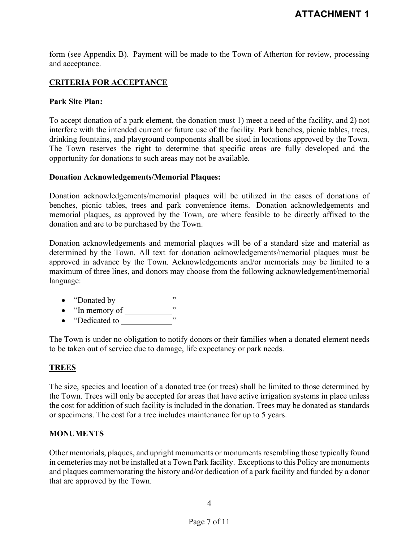form (see Appendix B). Payment will be made to the Town of Atherton for review, processing and acceptance.

## **CRITERIA FOR ACCEPTANCE**

#### **Park Site Plan:**

To accept donation of a park element, the donation must 1) meet a need of the facility, and 2) not interfere with the intended current or future use of the facility. Park benches, picnic tables, trees, drinking fountains, and playground components shall be sited in locations approved by the Town. The Town reserves the right to determine that specific areas are fully developed and the opportunity for donations to such areas may not be available.

#### **Donation Acknowledgements/Memorial Plaques:**

Donation acknowledgements/memorial plaques will be utilized in the cases of donations of benches, picnic tables, trees and park convenience items. Donation acknowledgements and memorial plaques, as approved by the Town, are where feasible to be directly affixed to the donation and are to be purchased by the Town.

Donation acknowledgements and memorial plaques will be of a standard size and material as determined by the Town. All text for donation acknowledgements/memorial plaques must be approved in advance by the Town. Acknowledgements and/or memorials may be limited to a maximum of three lines, and donors may choose from the following acknowledgement/memorial language:

- "Donated by  $\frac{1}{1}$ "
- "In memory of  $"$
- "Dedicated to  $\frac{1}{\sqrt{1-\frac{1}{\sqrt{1-\frac{1}{\sqrt{1-\frac{1}{\sqrt{1-\frac{1}{\sqrt{1-\frac{1}{\sqrt{1-\frac{1}{\sqrt{1-\frac{1}{\sqrt{1-\frac{1}{\sqrt{1-\frac{1}{\sqrt{1-\frac{1}{\sqrt{1-\frac{1}{\sqrt{1-\frac{1}{\sqrt{1-\frac{1}{\sqrt{1-\frac{1}{\sqrt{1-\frac{1}{\sqrt{1-\frac{1}{\sqrt{1-\frac{1}{\sqrt{1-\frac{1}{\sqrt{1-\frac{1}{\sqrt{1-\frac{1}{\sqrt{1-\frac{1}{\sqrt{1-\frac{1}{\$

The Town is under no obligation to notify donors or their families when a donated element needs to be taken out of service due to damage, life expectancy or park needs.

#### **TREES**

The size, species and location of a donated tree (or trees) shall be limited to those determined by the Town. Trees will only be accepted for areas that have active irrigation systems in place unless the cost for addition of such facility is included in the donation. Trees may be donated as standards or specimens. The cost for a tree includes maintenance for up to 5 years.

#### **MONUMENTS**

Other memorials, plaques, and upright monuments or monuments resembling those typically found in cemeteries may not be installed at a Town Park facility. Exceptions to this Policy are monuments and plaques commemorating the history and/or dedication of a park facility and funded by a donor that are approved by the Town.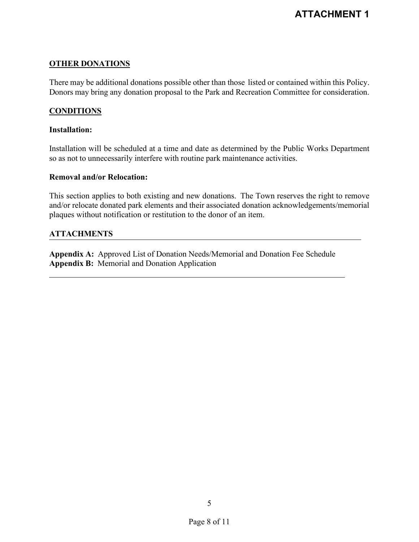## **OTHER DONATIONS**

There may be additional donations possible other than those listed or contained within this Policy. Donors may bring any donation proposal to the Park and Recreation Committee for consideration.

## **CONDITIONS**

#### **Installation:**

Installation will be scheduled at a time and date as determined by the Public Works Department so as not to unnecessarily interfere with routine park maintenance activities.

#### **Removal and/or Relocation:**

This section applies to both existing and new donations. The Town reserves the right to remove and/or relocate donated park elements and their associated donation acknowledgements/memorial plaques without notification or restitution to the donor of an item.

## **ATTACHMENTS**

**Appendix A:** Approved List of Donation Needs/Memorial and Donation Fee Schedule **Appendix B:** Memorial and Donation Application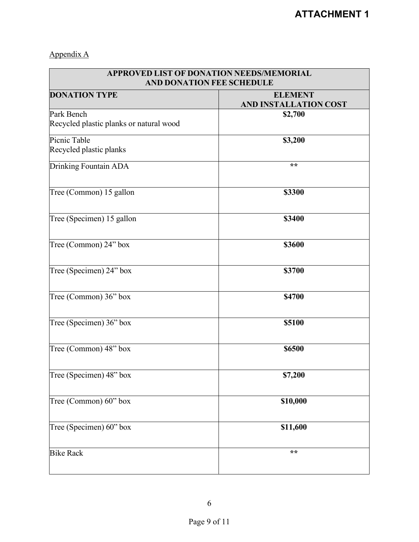# Appendix A

| <b>APPROVED LIST OF DONATION NEEDS/MEMORIAL</b><br>AND DONATION FEE SCHEDULE |                                         |
|------------------------------------------------------------------------------|-----------------------------------------|
| <b>DONATION TYPE</b>                                                         | <b>ELEMENT</b><br>AND INSTALLATION COST |
| Park Bench                                                                   | \$2,700                                 |
| Recycled plastic planks or natural wood                                      |                                         |
| Picnic Table                                                                 | \$3,200                                 |
| Recycled plastic planks                                                      |                                         |
| Drinking Fountain ADA                                                        | $\star\star$                            |
| Tree (Common) 15 gallon                                                      | \$3300                                  |
| Tree (Specimen) 15 gallon                                                    | \$3400                                  |
| Tree (Common) 24" box                                                        | \$3600                                  |
| Tree (Specimen) 24" box                                                      | \$3700                                  |
| Tree (Common) 36" box                                                        | \$4700                                  |
| Tree (Specimen) 36" box                                                      | \$5100                                  |
| Tree (Common) 48" box                                                        | \$6500                                  |
| Tree (Specimen) 48" box                                                      | \$7,200                                 |
| Tree (Common) 60" box                                                        | \$10,000                                |
| Tree (Specimen) 60" box                                                      | \$11,600                                |
| <b>Bike Rack</b>                                                             | **                                      |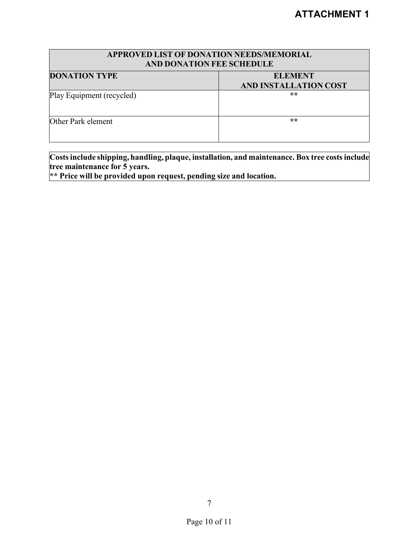| APPROVED LIST OF DONATION NEEDS/MEMORIAL<br><b>AND DONATION FEE SCHEDULE</b> |                       |  |
|------------------------------------------------------------------------------|-----------------------|--|
| <b>DONATION TYPE</b>                                                         | <b>ELEMENT</b>        |  |
|                                                                              | AND INSTALLATION COST |  |
| Play Equipment (recycled)                                                    | $\star\star$          |  |
| Other Park element                                                           | **                    |  |

**Costsinclude shipping, handling, plaque, installation, and maintenance. Box tree costs include tree maintenance for 5 years.** 

**\*\* Price will be provided upon request, pending size and location.**